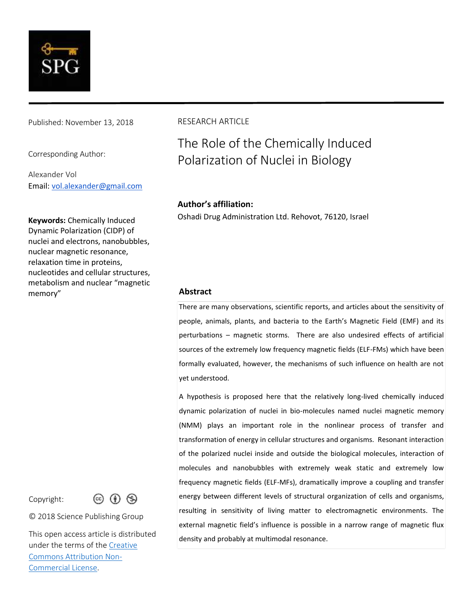

Published: November 13, 2018

Corresponding Author:

Alexander Vol Email: [vol.alexander@gmail.com](mailto:vol.alexander@gmail.com)

**Keywords:** Chemically Induced Dynamic Polarization (CIDP) of nuclei and electrons, nanobubbles, nuclear magnetic resonance, relaxation time in proteins, nucleotides and cellular structures, metabolism and nuclear "magnetic memory" **Abstract**

Copyright:



© 2018 Science Publishing Group

This open access article is distributed under the terms of the [Creative](https://creativecommons.org/licenses/by-nc/4.0/legalcode)  [Commons Attribution Non-](https://creativecommons.org/licenses/by-nc/4.0/legalcode)[Commercial License.](https://creativecommons.org/licenses/by-nc/4.0/legalcode)

#### RESEARCH ARTICLE

# The Role of the Chemically Induced Polarization of Nuclei in Biology

#### **Author's affiliation:**

Oshadi Drug Administration Ltd. Rehovot, 76120, Israel

There are many observations, scientific reports, and articles about the sensitivity of people, animals, plants, and bacteria to the Earth's Magnetic Field (EMF) and its perturbations – magnetic storms. There are also undesired effects of artificial sources of the extremely low frequency magnetic fields (ELF-FMs) which have been formally evaluated, however, the mechanisms of such influence on health are not yet understood.

A hypothesis is proposed here that the relatively long-lived chemically induced dynamic polarization of nuclei in bio-molecules named nuclei magnetic memory (NMM) plays an important role in the nonlinear process of transfer and transformation of energy in cellular structures and organisms. Resonant interaction of the polarized nuclei inside and outside the biological molecules, interaction of molecules and nanobubbles with extremely weak static and extremely low frequency magnetic fields (ELF-MFs), dramatically improve a coupling and transfer energy between different levels of structural organization of cells and organisms, resulting in sensitivity of living matter to electromagnetic environments. The external magnetic field's influence is possible in a narrow range of magnetic flux density and probably at multimodal resonance.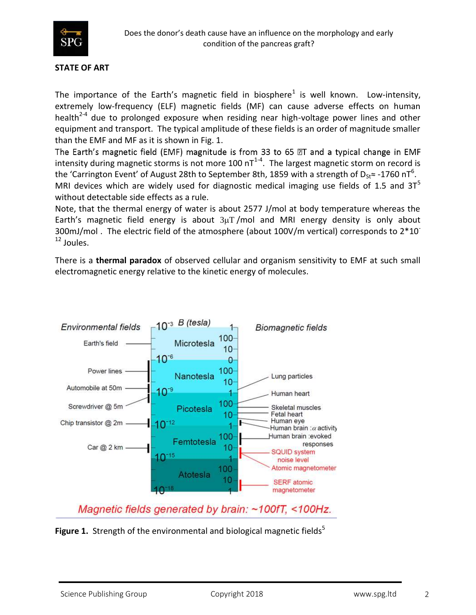

#### **STATE OF ART**

The importance of the Earth's magnetic field in biosphere<sup>1</sup> is well known. Low-intensity, extremely low-frequency (ELF) magnetic fields (MF) can cause adverse effects on human health<sup>2-4</sup> due to prolonged exposure when residing near high-voltage power lines and other equipment and transport. The typical amplitude of these fields is an order of magnitude smaller than the EMF and MF as it is shown in Fig. 1.

The Earth's magnetic field (EMF) magnitude is from 33 to 65 @T and a typical change in EMF intensity during magnetic storms is not more 100 nT<sup>1-4</sup>. The largest magnetic storm on record is the 'Carrington Event' of August 28th to September 8th, 1859 with a strength of D<sub>St</sub>≈ -1760 nT<sup>6</sup>. MRI devices which are widely used for diagnostic medical imaging use fields of 1.5 and  $3T^5$ 

without detectable side effects as a rule.

Note, that the thermal energy of water is about 2577 J/mol at body temperature whereas the Earth's magnetic field energy is about  $3\mu$ T /mol and MRI energy density is only about 300mJ/mol. The electric field of the atmosphere (about 100V/m vertical) corresponds to 2\*10<sup>-</sup> <sup>12</sup> Joules.

There is a **thermal paradox** of observed cellular and organism sensitivity to EMF at such small electromagnetic energy relative to the kinetic energy of molecules.



Magnetic fields generated by brain: ~100fT, <100Hz.

**Figure 1.** Strength of the environmental and biological magnetic fields<sup>5</sup>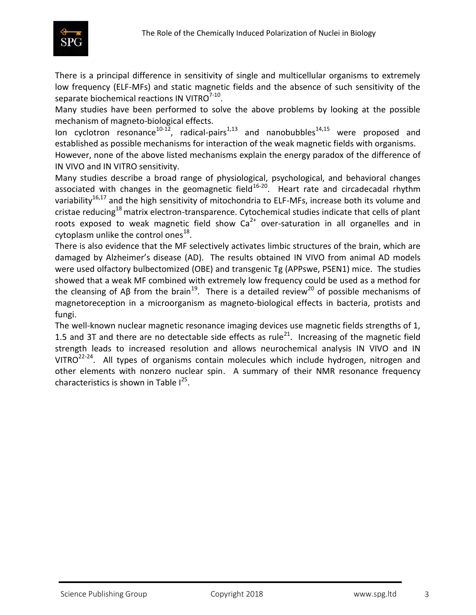

There is a principal difference in sensitivity of single and multicellular organisms to extremely low frequency (ELF-MFs) and static magnetic fields and the absence of such sensitivity of the separate biochemical reactions IN VITRO $^{7\text{-}10}$ .

Many studies have been performed to solve the above problems by looking at the possible mechanism of magneto-biological effects.

Ion cyclotron resonance<sup>10-12</sup>, radical-pairs<sup>1,13</sup> and nanobubbles<sup>14,15</sup> were proposed and established as possible mechanisms for interaction of the weak magnetic fields with organisms.

However, none of the above listed mechanisms explain the energy paradox of the difference of IN VIVO and IN VITRO sensitivity.

Many studies describe a broad range of physiological, psychological, and behavioral changes associated with changes in the geomagnetic field<sup>16-20</sup>. Heart rate and circadecadal rhythm variability<sup>16,17</sup> and the high sensitivity of mitochondria to ELF-MFs, increase both its volume and cristae reducing<sup>18</sup>matrix electron-transparence. Cytochemical studies indicate that cells of plant roots exposed to weak magnetic field show  $Ca<sup>2+</sup>$  over-saturation in all organelles and in cytoplasm unlike the control ones $^{18}$ .

There is also evidence that the MF selectively activates limbic structures of the brain, which are damaged by Alzheimer's disease (AD). The results obtained IN VIVO from animal AD models were used olfactory bulbectomized (OBE) and transgenic Tg (APPswe, PSEN1) mice. The studies showed that a weak MF combined with extremely low frequency could be used as a method for the cleansing of Aβ from the brain<sup>19</sup>. There is a detailed review<sup>20</sup> of possible mechanisms of magnetoreception in a microorganism as magneto-biological effects in bacteria, protists and fungi.

The well-known nuclear magnetic resonance imaging devices use magnetic fields strengths of 1, 1.5 and 3T and there are no detectable side effects as rule<sup>21</sup>. Increasing of the magnetic field strength leads to increased resolution and allows neurochemical analysis IN VIVO and IN VITRO $^{22-24}$ . All types of organisms contain molecules which include hydrogen, nitrogen and other elements with nonzero nuclear spin. A summary of their NMR resonance frequency characteristics is shown in Table  $I^{25}$ .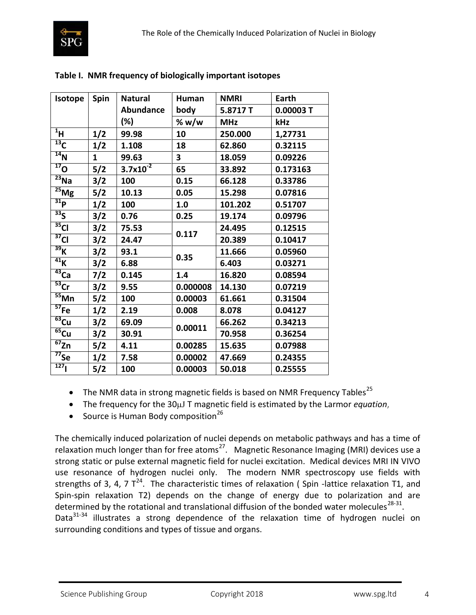

| Isotope                       | Spin  | <b>Natural</b>   | Human                   | <b>NMRI</b> | Earth    |
|-------------------------------|-------|------------------|-------------------------|-------------|----------|
|                               |       | <b>Abundance</b> | body                    | 5.8717T     | 0.00003T |
|                               |       | (%)              | % w/w                   | <b>MHz</b>  | kHz      |
| $1$ H                         | 1/2   | 99.98            | 10                      | 250.000     | 1,27731  |
| $^{13}$ C                     | 1/2   | 1.108            | 18                      | 62.860      | 0.32115  |
| $\overline{^{14}}$ N          | 1     | 99.63            | $\overline{\mathbf{3}}$ | 18.059      | 0.09226  |
| $\overline{^{17}}O$           | 5/2   | $3.7x10^{-2}$    | 65                      | 33.892      | 0.173163 |
| $\overline{^{23}}$ Na         | 3/2   | 100              | 0.15                    | 66.128      | 0.33786  |
| $\overline{^{25}}$ Mg         | 5/2   | 10.13            | 0.05                    | 15.298      | 0.07816  |
| $\overline{{}^{31}P}$         | 1/2   | 100              | 1.0                     | 101.202     | 0.51707  |
| 33 <sub>S</sub>               | 3/2   | 0.76             | 0.25                    | 19.174      | 0.09796  |
| $\overline{{}^{35}C}$         | 3/2   | 75.53            | 0.117                   | 24.495      | 0.12515  |
| $\overline{^{37}}$ CI         | 3/2   | 24.47            |                         | 20.389      | 0.10417  |
| 39 <sub>K</sub>               | 3/2   | 93.1             |                         | 11.666      | 0.05960  |
| $\overline{41}$ K             | 3/2   | 6.88             | 0.35                    | 6.403       | 0.03271  |
| $\overline{^{43}}$ Ca         | 7/2   | 0.145            | 1.4                     | 16.820      | 0.08594  |
| $\overline{53}$ Cr            | 3/2   | 9.55             | 0.000008                | 14.130      | 0.07219  |
| $\overline{\overline{55}}$ Mn | $5/2$ | 100              | 0.00003                 | 61.661      | 0.31504  |
| $\overline{57}$ Fe            | 1/2   | 2.19             | 0.008                   | 8.078       | 0.04127  |
| $\overline{^{63}}$ Cu         | 3/2   | 69.09            |                         | 66.262      | 0.34213  |
| $\overline{^{65}}$ Cu         | 3/2   | 30.91            | 0.00011                 | 70.958      | 0.36254  |
| $\overline{^{67}}$ Zn         | 5/2   | 4.11             | 0.00285                 | 15.635      | 0.07988  |
| $\overline{77}$ Se            | 1/2   | 7.58             | 0.00002                 | 47.669      | 0.24355  |
| 127                           | 5/2   | 100              | 0.00003                 | 50.018      | 0.25555  |

# **Table I. NMR frequency of biologically important isotopes**

- The NMR data in strong magnetic fields is based on NMR Frequency Tables<sup>25</sup>
- The frequency for the 30µJ T magnetic field is estimated by the Larmor *equation*,
- Source is Human Body composition<sup>26</sup>

The chemically induced polarization of nuclei depends on metabolic pathways and has a time of relaxation much longer than for free atoms<sup>27</sup>. Magnetic Resonance Imaging (MRI) devices use a strong static or pulse external magnetic field for nuclei excitation. Medical devices MRI IN VIVO use resonance of hydrogen nuclei only. The modern NMR spectroscopy use fields with strengths of 3, 4, 7  $T^{24}$ . The characteristic times of relaxation (Spin -lattice relaxation T1, and Spin-spin relaxation T2) depends on the change of energy due to polarization and are determined by the rotational and translational diffusion of the bonded water molecules<sup>28-31</sup>. Data $31-34$  illustrates a strong dependence of the relaxation time of hydrogen nuclei on surrounding conditions and types of tissue and organs.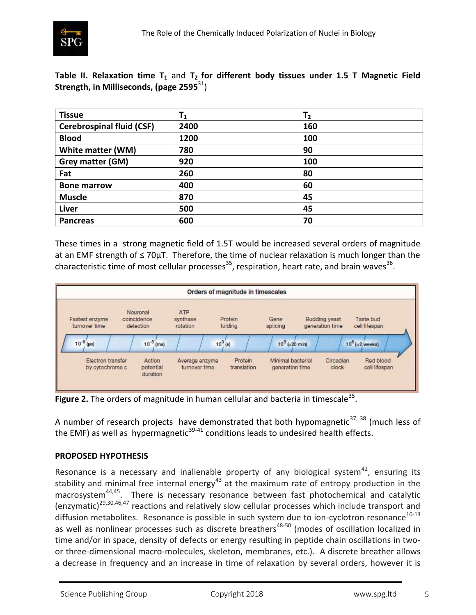

**Table II. Relaxation time T<sup>1</sup>** and **T2 for different body tissues under 1.5 T Magnetic Field Strength, in Milliseconds, (page 2595**<sup>31</sup>)

| <b>Tissue</b>                    | $\mathsf{T}_1$ | T <sub>2</sub> |
|----------------------------------|----------------|----------------|
| <b>Cerebrospinal fluid (CSF)</b> | 2400           | 160            |
| <b>Blood</b>                     | 1200           | 100            |
| White matter (WM)                | 780            | 90             |
| Grey matter (GM)                 | 920            | 100            |
| Fat                              | 260            | 80             |
| <b>Bone marrow</b>               | 400            | 60             |
| <b>Muscle</b>                    | 870            | 45             |
| <b>Liver</b>                     | 500            | 45             |
| <b>Pancreas</b>                  | 600            | 70             |

These times in a strong magnetic field of 1.5T would be increased several orders of magnitude at an EMF strength of ≤ 70µT. Therefore, the time of nuclear relaxation is much longer than the characteristic time of most cellular processes<sup>35</sup>, respiration, heart rate, and brain waves<sup>36</sup>.



Figure 2. The orders of magnitude in human cellular and bacteria in timescale<sup>35</sup>.

A number of research projects have demonstrated that both hypomagnetic $37, 38$  (much less of the EMF) as well as hypermagnetic<sup>39-41</sup> conditions leads to undesired health effects.

# **PROPOSED HYPOTHESIS**

Resonance is a necessary and inalienable property of any biological system $42$ , ensuring its stability and minimal free internal energy<sup>43</sup> at the maximum rate of entropy production in the macrosystem<sup>44,45</sup>. There is necessary resonance between fast photochemical and catalytic (enzymatic)<sup>29,30,46,47</sup> reactions and relatively slow cellular processes which include transport and diffusion metabolites. Resonance is possible in such system due to ion-cyclotron resonance<sup>10-13</sup> as well as nonlinear processes such as discrete breathers<sup>48-50</sup> (modes of oscillation localized in time and/or in space, density of defects or energy resulting in peptide chain oscillations in twoor three-dimensional macro-molecules, skeleton, membranes, etc.). A discrete breather allows a decrease in frequency and an increase in time of relaxation by several orders, however it is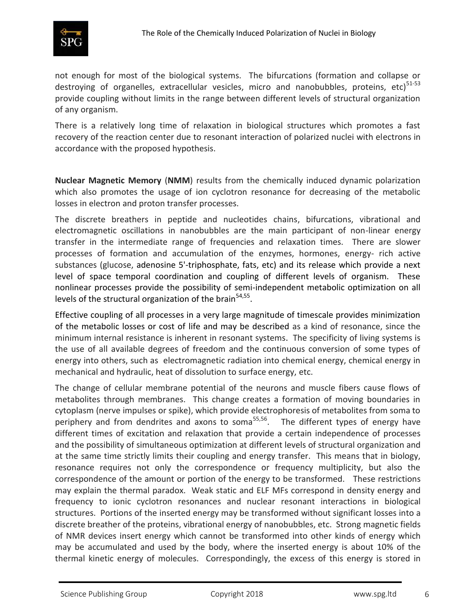

not enough for most of the biological systems. The bifurcations (formation and collapse or destroying of organelles, extracellular vesicles, micro and nanobubbles, proteins, etc) $51-53$ provide coupling without limits in the range between different levels of structural organization of any organism.

There is a relatively long time of relaxation in biological structures which promotes a fast recovery of the reaction center due to resonant interaction of polarized nuclei with electrons in accordance with the proposed hypothesis.

**Nuclear Magnetic Memory** (**NMM**) results from the chemically induced dynamic polarization which also promotes the usage of ion cyclotron resonance for decreasing of the metabolic losses in electron and proton transfer processes.

The discrete breathers in peptide and nucleotides chains, bifurcations, vibrational and electromagnetic oscillations in nanobubbles are the main participant of non-linear energy transfer in the intermediate range of frequencies and relaxation times. There are slower processes of formation and accumulation of the enzymes, hormones, energy- rich active substances (glucose, adenosine 5'-triphosphate, fats, etc) and its release which provide a next level of space temporal coordination and coupling of different levels of organism. These nonlinear processes provide the possibility of semi-independent metabolic optimization on all levels of the structural organization of the brain<sup>54,55</sup>.

Effective coupling of all processes in a very large magnitude of timescale provides minimization of the metabolic losses or cost of life and may be described as a kind of resonance, since the minimum internal resistance is inherent in resonant systems. The specificity of living systems is the use of all available degrees of freedom and the continuous conversion of some types of energy into others, such as electromagnetic radiation into chemical energy, chemical energy in mechanical and hydraulic, heat of dissolution to surface energy, etc.

The change of cellular membrane potential of the neurons and muscle fibers cause flows of metabolites through membranes. This change creates a formation of moving boundaries in cytoplasm (nerve impulses or spike), which provide electrophoresis of metabolites from soma to periphery and from dendrites and axons to soma<sup>55,56</sup>. The different types of energy have different times of excitation and relaxation that provide a certain independence of processes and the possibility of simultaneous optimization at different levels of structural organization and at the same time strictly limits their coupling and energy transfer. This means that in biology, resonance requires not only the correspondence or frequency multiplicity, but also the correspondence of the amount or portion of the energy to be transformed. These restrictions may explain the thermal paradox. Weak static and ELF MFs correspond in density energy and frequency to ionic cyclotron resonances and nuclear resonant interactions in biological structures. Portions of the inserted energy may be transformed without significant losses into a discrete breather of the proteins, vibrational energy of nanobubbles, etc. Strong magnetic fields of NMR devices insert energy which cannot be transformed into other kinds of energy which may be accumulated and used by the body, where the inserted energy is about 10% of the thermal kinetic energy of molecules. Correspondingly, the excess of this energy is stored in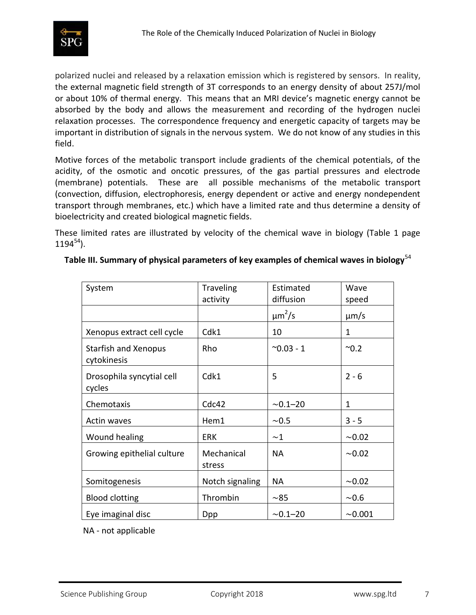

polarized nuclei and released by a relaxation emission which is registered by sensors. In reality, the external magnetic field strength of 3T corresponds to an energy density of about 257J/mol or about 10% of thermal energy. This means that an MRI device's magnetic energy cannot be absorbed by the body and allows the measurement and recording of the hydrogen nuclei relaxation processes. The correspondence frequency and energetic capacity of targets may be important in distribution of signals in the nervous system. We do not know of any studies in this field.

Motive forces of the metabolic transport include gradients of the chemical potentials, of the acidity, of the osmotic and oncotic pressures, of the gas partial pressures and electrode (membrane) potentials. These are all possible mechanisms of the metabolic transport (convection, diffusion, electrophoresis, energy dependent or active and energy nondependent transport through membranes, etc.) which have a limited rate and thus determine a density of bioelectricity and created biological magnetic fields.

These limited rates are illustrated by velocity of the chemical wave in biology (Table 1 page  $1194^{54}$ ).

| System                                     | <b>Traveling</b>     | Estimated         | Wave         |
|--------------------------------------------|----------------------|-------------------|--------------|
|                                            | activity             | diffusion         | speed        |
|                                            |                      | $\mu m^2/s$       | $\mu$ m/s    |
| Xenopus extract cell cycle                 | Cdk1                 | 10                | 1            |
| <b>Starfish and Xenopus</b><br>cytokinesis | Rho                  | $^{\sim}0.03 - 1$ | $^{\sim}0.2$ |
| Drosophila syncytial cell<br>cycles        | Cdk1                 | 5                 | $2 - 6$      |
| Chemotaxis                                 | Cdc42                | $~1 - 20$         | 1            |
| Actin waves                                | Hem1                 | ~0.5              | $3 - 5$      |
| Wound healing                              | <b>ERK</b>           | ~1                | ~10.02       |
| Growing epithelial culture                 | Mechanical<br>stress | <b>NA</b>         | ~10.02       |
| Somitogenesis                              | Notch signaling      | NA                | ~10.02       |
| <b>Blood clotting</b>                      | Thrombin             | $~1$ – 85         | ~0.6         |
| Eye imaginal disc                          | <b>Dpp</b>           | $~0.1 - 20$       | ~10.001      |

# **Table III. Summary of physical parameters of key examples of chemical waves in biology**<sup>54</sup>

NA - not applicable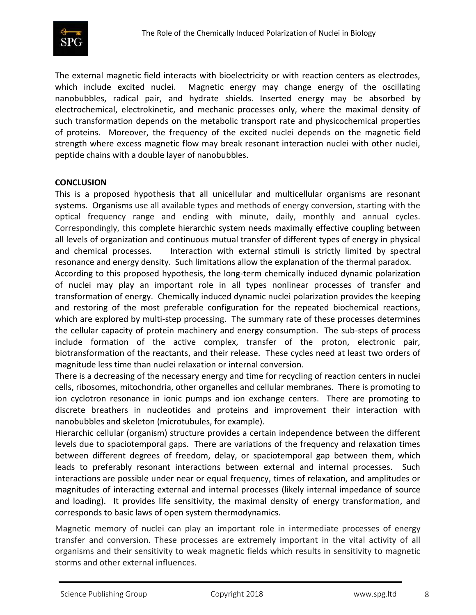

The external magnetic field interacts with bioelectricity or with reaction centers as electrodes, which include excited nuclei. Magnetic energy may change energy of the oscillating nanobubbles, radical pair, and hydrate shields. Inserted energy may be absorbed by electrochemical, electrokinetic, and mechanic processes only, where the maximal density of such transformation depends on the metabolic transport rate and physicochemical properties of proteins. Moreover, the frequency of the excited nuclei depends on the magnetic field strength where excess magnetic flow may break resonant interaction nuclei with other nuclei, peptide chains with a double layer of nanobubbles.

## **CONCLUSION**

This is a proposed hypothesis that all unicellular and multicellular organisms are resonant systems. Organisms use all available types and methods of energy conversion, starting with the optical frequency range and ending with minute, daily, monthly and annual cycles. Correspondingly, this complete hierarchic system needs maximally effective coupling between all levels of organization and continuous mutual transfer of different types of energy in physical and chemical processes. Interaction with external stimuli is strictly limited by spectral resonance and energy density. Such limitations allow the explanation of the thermal paradox.

According to this proposed hypothesis, the long-term chemically induced dynamic polarization of nuclei may play an important role in all types nonlinear processes of transfer and transformation of energy. Chemically induced dynamic nuclei polarization provides the keeping and restoring of the most preferable configuration for the repeated biochemical reactions, which are explored by multi-step processing. The summary rate of these processes determines the cellular capacity of protein machinery and energy consumption. The sub-steps of process include formation of the active complex, transfer of the proton, electronic pair, biotransformation of the reactants, and their release. These cycles need at least two orders of magnitude less time than nuclei relaxation or internal conversion.

There is a decreasing of the necessary energy and time for recycling of reaction centers in nuclei cells, ribosomes, mitochondria, other organelles and cellular membranes. There is promoting to ion cyclotron resonance in ionic pumps and ion exchange centers. There are promoting to discrete breathers in nucleotides and proteins and improvement their interaction with nanobubbles and skeleton (microtubules, for example).

Hierarchic cellular (organism) structure provides a certain independence between the different levels due to spaciotemporal gaps. There are variations of the frequency and relaxation times between different degrees of freedom, delay, or spaciotemporal gap between them, which leads to preferably resonant interactions between external and internal processes. Such interactions are possible under near or equal frequency, times of relaxation, and amplitudes or magnitudes of interacting external and internal processes (likely internal impedance of source and loading). It provides life sensitivity, the maximal density of energy transformation, and corresponds to basic laws of open system thermodynamics.

Magnetic memory of nuclei can play an important role in intermediate processes of energy transfer and conversion. These processes are extremely important in the vital activity of all organisms and their sensitivity to weak magnetic fields which results in sensitivity to magnetic storms and other external influences.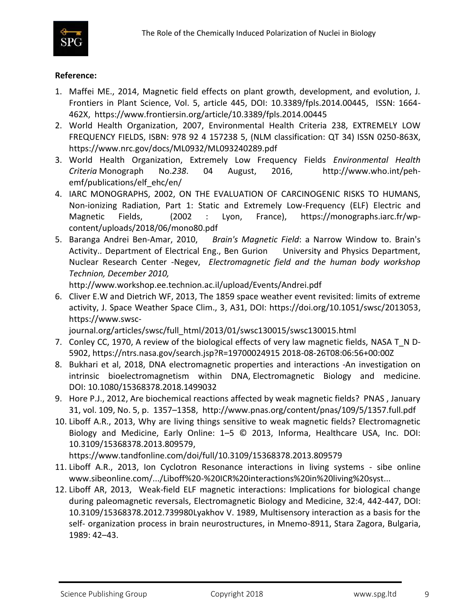

### **Reference:**

- 1. Maffei ME., 2014, Magnetic field effects on plant growth, development, and evolution, J. Frontiers in Plant Science, Vol. 5, article 445, DOI: 10.3389/fpls.2014.00445, ISSN: 1664- 462X,<https://www.frontiersin.org/article/10.3389/fpls.2014.00445>
- 2. World Health Organization, 2007, Environmental Health Criteria 238, EXTREMELY LOW FREQUENCY FIELDS, ISBN: 978 92 4 157238 5, (NLM classification: QT 34) ISSN 0250-863X, <https://www.nrc.gov/docs/ML0932/ML093240289.pdf>
- 3. World Health Organization, Extremely Low Frequency Fields *Environmental Health Criteria* Monograph No.*238*. 04 August, 2016, [http://www.who.int/peh](http://www.who.int/peh-emf/publications/elf_ehc/en/)[emf/publications/elf\\_ehc/en/](http://www.who.int/peh-emf/publications/elf_ehc/en/)
- 4. IARC MONOGRAPHS, 2002, ON THE EVALUATION OF CARCINOGENIC RISKS TO HUMANS, Non-ionizing Radiation, Part 1: Static and Extremely Low-Frequency (ELF) Electric and Magnetic Fields, (2002 : Lyon, France), [https://monographs.iarc.fr/wp](https://monographs.iarc.fr/wp-content/uploads/2018/06/mono80.pdf)[content/uploads/2018/06/mono80.pdf](https://monographs.iarc.fr/wp-content/uploads/2018/06/mono80.pdf)
- 5. Baranga Andrei Ben-Amar, 2010, *Brain's Magnetic Field*: a Narrow Window to. Brain's Activity.. Department of Electrical Eng., Ben Gurion University and Physics Department, Nuclear Research Center -Negev, *Electromagnetic field and the human body workshop Technion, December 2010,*

<http://www.workshop.ee.technion.ac.il/upload/Events/Andrei.pdf>

6. Cliver E.W and Dietrich WF, 2013, The 1859 space weather event revisited: limits of extreme activity, J. Space Weather Space Clim., 3, A31, DOI: [https://doi.org/10.1051/swsc/2013053,](https://doi.org/10.1051/swsc/2013053) [https://www.swsc-](https://www.swsc-journal.org/articles/swsc/full_html/2013/01/swsc130015/swsc130015.html)

[journal.org/articles/swsc/full\\_html/2013/01/swsc130015/swsc130015.html](https://www.swsc-journal.org/articles/swsc/full_html/2013/01/swsc130015/swsc130015.html)

- 7. Conley CC, 1970, A review of the biological effects of very law magnetic fields, NASA T\_N D-5902, https://ntrs.nasa.gov/search.jsp?R=19700024915 2018-08-26T08:06:56+00:00Z
- 8. Bukhari et al, 2018, DNA electromagnetic properties and interactions -An investigation on intrinsic bioelectromagnetism within DNA, Electromagnetic Biology and medicine. DOI: [10.1080/15368378.2018.1499032](https://doi.org/10.1080/15368378.2018.1499032)
- 9. Hore P.J., 2012, Are biochemical reactions affected by weak magnetic fields? PNAS , January 31, vol. 109, No. 5, p. 1357–1358, <http://www.pnas.org/content/pnas/109/5/1357.full.pdf>
- 10. Liboff A.R., 2013, Why are living things sensitive to weak magnetic fields? Electromagnetic Biology and Medicine, Early Online: 1–5 © 2013, Informa, Healthcare USA, Inc. DOI: 10.3109/15368378.2013.809579,

<https://www.tandfonline.com/doi/full/10.3109/15368378.2013.809579>

- 11. Liboff A.R., 2013, [Ion Cyclotron Resonance interactions in living systems -](http://www.sibeonline.com/download/Liboff%20-%20ICR%20interactions%20in%20living%20systems%20-%20SIBE%202013.pdf) sibe online www.sibeonline.com/.../Liboff%20-%20ICR%20interactions%20in%20living%20syst...
- 12. Liboff AR, 2013, Weak-field ELF magnetic interactions: Implications for biological change during paleomagnetic reversals, Electromagnetic Biology and Medicine, 32:4, 442-447, DOI: [10.3109/15368378.2012.739980L](https://doi.org/10.3109/15368378.2012.739980)yakhov V. 1989, Multisensory interaction as a basis for the self- organization process in brain neurostructures, in Mnemo-8911, Stara Zagora, Bulgaria, 1989: 42–43.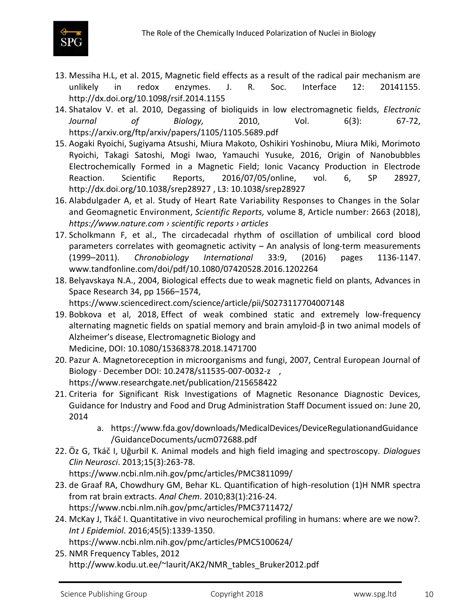

- 13. Messiha H.L, et al. 2015, Magnetic field effects as a result of the radical pair mechanism are unlikely in redox enzymes. J. R. Soc. Interface 12: 20141155. http://dx.doi.org/10.1098/rsif.2014.1155
- 14. Shatalov V. et al. 2010, Degassing of bioliquids in low electromagnetic fields, *Electronic Journal of Biology,* 2010, Vol. 6(3): 67-72, <https://arxiv.org/ftp/arxiv/papers/1105/1105.5689.pdf>
- 15. Aogaki Ryoichi, Sugiyama Atsushi, Miura Makoto, Oshikiri Yoshinobu, Miura Miki, Morimoto Ryoichi, Takagi Satoshi, Mogi Iwao, Yamauchi Yusuke, 2016, Origin of Nanobubbles Electrochemically Formed in a Magnetic Field; Ionic Vacancy Production in Electrode Reaction. Scientific Reports, 2016/07/05/online, vol. 6, SP 28927, <http://dx.doi.org/10.1038/srep28927> , L3: 10.1038/srep28927
- 16. [Alabdulgader](https://www.nature.com/articles/s41598-018-20932-x#auth-1) A, et al. Study of Heart Rate Variability Responses to Changes in the Solar and Geomagnetic Environment, *Scientific Reports,* volume 8, Article number: 2663 (2018), *https://www.nature.com › scientific reports › articles*
- 17. Scholkmann F, et al., [The circadecadal rhythm of oscillation of umbilical cord blood](https://www.tandfonline.com/doi/abs/10.1080/07420528.2016.1202264)  [parameters correlates with geomagnetic activity](https://www.tandfonline.com/doi/abs/10.1080/07420528.2016.1202264) – An analysis of long-term measurements (1999–[2011\).](https://www.tandfonline.com/doi/abs/10.1080/07420528.2016.1202264) *Chronobiology International* 33:9, (2016) pages 1136-1147. www.tandfonline.com/doi/pdf/10.1080/07420528.2016.1202264
- 18. Belyavskaya N.A., 2004, Biological effects due to weak magnetic field on plants, Advances in Space Research 34, pp 1566–1574, <https://www.sciencedirect.com/science/article/pii/S0273117704007148>
- 19. Bobkova et al, 2018, Effect of weak combined static and extremely low-frequency alternating magnetic fields on spatial memory and brain amyloid-β in two animal models of Alzheimer's disease, Electromagnetic Biology and Medicine, DOI: [10.1080/15368378.2018.1471700](https://doi.org/10.1080/15368378.2018.1471700)
- 20. Pazur A. Magnetoreception in microorganisms and fungi, 2007, Central European Journal of Biology · December DOI: 10.2478/s11535-007-0032-z , <https://www.researchgate.net/publication/215658422>
- 21. Criteria for Significant Risk Investigations of Magnetic Resonance Diagnostic Devices, Guidance for Industry and Food and Drug Administration Staff Document issued on: June 20, 2014
	- a. [https://www.fda.gov/downloads/MedicalDevices/DeviceRegulationandGuidance](https://www.fda.gov/downloads/MedicalDevices/DeviceRegulationandGuidance/GuidanceDocuments/ucm072688.pdf) [/GuidanceDocuments/ucm072688.pdf](https://www.fda.gov/downloads/MedicalDevices/DeviceRegulationandGuidance/GuidanceDocuments/ucm072688.pdf)
- 22. Öz G, Tkáč I, Uğurbil K. Animal models and high field imaging and spectroscopy. *Dialogues Clin Neurosci*. 2013;15(3):263-78.

<https://www.ncbi.nlm.nih.gov/pmc/articles/PMC3811099/>

- 23. de Graaf RA, Chowdhury GM, Behar KL. Quantification of high-resolution (1)H NMR spectra from rat brain extracts. *Anal Chem*. 2010;83(1):216-24. <https://www.ncbi.nlm.nih.gov/pmc/articles/PMC3711472/>
- 24. McKay J, Tkáč I. Quantitative in vivo neurochemical profiling in humans: where are we now?. *Int J Epidemiol*. 2016;45(5):1339-1350. <https://www.ncbi.nlm.nih.gov/pmc/articles/PMC5100624/>
- 25. NMR Frequency Tables, 2012 [http://www.kodu.ut.ee/~laurit/AK2/NMR\\_tables\\_Bruker2012.pdf](http://www.kodu.ut.ee/~laurit/AK2/NMR_tables_Bruker2012.pdf)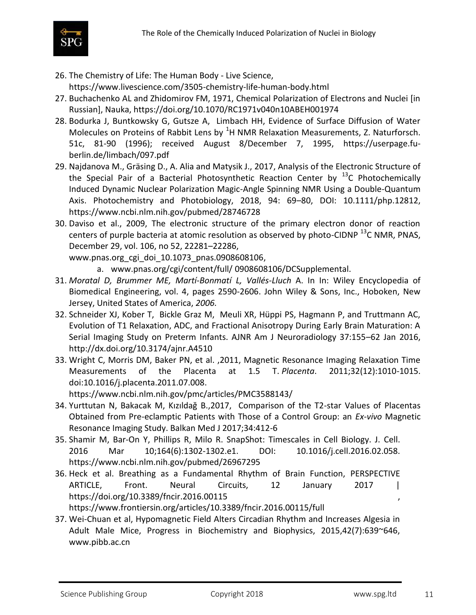

- 26. The Chemistry of Life: The Human Body Live Science, <https://www.livescience.com/3505-chemistry-life-human-body.html>
- 27. Buchachenko AL and Zhidomirov FM, 1971, Chemical Polarization of Electrons and Nuclei [in Russian], Nauka,<https://doi.org/10.1070/RC1971v040n10ABEH001974>
- 28. Bodurka J, Buntkowsky G, Gutsze A, Limbach HH, Evidence of Surface Diffusion of Water Molecules on Proteins of Rabbit Lens by  $<sup>1</sup>H NMR$  Relaxation Measurements, Z. Naturforsch.</sup> 51c, 81-90 (1996); received August 8/December 7, 1995, [https://userpage.fu](https://userpage.fu-berlin.de/limbach/097.pdf)[berlin.de/limbach/097.pdf](https://userpage.fu-berlin.de/limbach/097.pdf)
- 29. Najdanova M., Gräsing D., A. Alia and Matysik J., 2017, Analysis of the Electronic Structure of the Special Pair of a Bacterial Photosynthetic Reaction Center by  $^{13}$ C Photochemically Induced Dynamic Nuclear Polarization Magic-Angle Spinning NMR Using a Double-Quantum Axis. Photochemistry and Photobiology, 2018, 94: 69–80, DOI: 10.1111/php.12812, https://www.ncbi.nlm.nih.gov/pubmed/28746728
- 30. Daviso et al., 2009, The electronic structure of the primary electron donor of reaction centers of purple bacteria at atomic resolution as observed by photo-CIDNP  $^{13}$ C NMR, PNAS, December 29, vol. 106, no 52, 22281–22286,
	- [www.pnas.org\\_cgi\\_doi\\_10.1073\\_pnas.0908608106,](http://www.pnas.org_cgi_doi_10.1073_pnas.0908608106/)
		- a. [www.pnas.org/cgi/content/full/](http://www.pnas.org/cgi/content/full/) 0908608106/DCSupplemental.
- 31. *Moratal D, Brummer ME, Martí-Bonmatí L, Vallés-Lluch* A. In In: Wiley Encyclopedia of Biomedical Engineering, vol. 4, pages 2590-2606. John Wiley & Sons, Inc., Hoboken, New Jersey, United States of America, *2006.*
- 32. Schneider XJ, Kober T, Bickle Graz M, Meuli XR, Hüppi PS, Hagmann P, and Truttmann AC, Evolution of T1 Relaxation, ADC, and Fractional Anisotropy During Early Brain Maturation: A Serial Imaging Study on Preterm Infants. AJNR Am J Neuroradiology 37:155–62 Jan 2016, <http://dx.doi.org/10.3174/ajnr.A4510>
- 33. Wright C, Morris DM, Baker PN, et al. ,2011, Magnetic Resonance Imaging Relaxation Time Measurements of the Placenta at 1.5 T. *Placenta*. 2011;32(12):1010-1015. doi:10.1016/j.placenta.2011.07.008.

<https://www.ncbi.nlm.nih.gov/pmc/articles/PMC3588143/>

- 34. Yurttutan N, Bakacak M, Kızıldağ B.,2017, Comparison of the T2-star Values of Placentas Obtained from Pre-eclamptic Patients with Those of a Control Group: an *Ex-vivo* Magnetic Resonance Imaging Study. Balkan Med J 2017;34:412-6
- 35. [Shamir M,](https://www.ncbi.nlm.nih.gov/pubmed/?term=Shamir%20M%5BAuthor%5D&cauthor=true&cauthor_uid=26967295) [Bar-On Y,](https://www.ncbi.nlm.nih.gov/pubmed/?term=Bar-On%20Y%5BAuthor%5D&cauthor=true&cauthor_uid=26967295) [Phillips R,](https://www.ncbi.nlm.nih.gov/pubmed/?term=Phillips%20R%5BAuthor%5D&cauthor=true&cauthor_uid=26967295) [Milo R.](https://www.ncbi.nlm.nih.gov/pubmed/?term=Milo%20R%5BAuthor%5D&cauthor=true&cauthor_uid=26967295) SnapShot: Timescales in Cell Biology. J. [Cell.](https://www.ncbi.nlm.nih.gov/pubmed/26967295) 2016 Mar 10;164(6):1302-1302.e1. DOI: 10.1016/j.cell.2016.02.058. <https://www.ncbi.nlm.nih.gov/pubmed/26967295>
- 36. Heck et al. Breathing as a Fundamental Rhythm of Brain Function, PERSPECTIVE ARTICLE, Front. Neural Circuits, 12 January 2017 | <https://doi.org/10.3389/fncir.2016.00115> , <https://www.frontiersin.org/articles/10.3389/fncir.2016.00115/full>
- 37. Wei-Chuan et al, Hypomagnetic Field Alters Circadian Rhythm and Increases Algesia in Adult Male Mice, Progress in Biochemistry and Biophysics, 2015,42(7):639~646, [www.pibb.ac.cn](http://www.pibb.ac.cn/)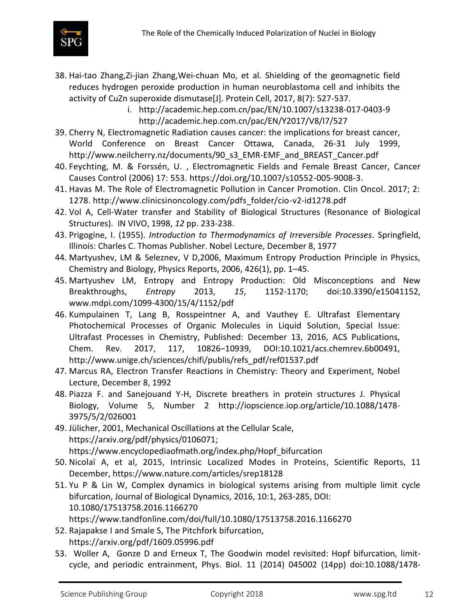

- 38. Hai-tao Zhang,Zi-jian Zhang,Wei-chuan Mo, et al. Shielding of the geomagnetic field reduces hydrogen peroxide production in human neuroblastoma cell and inhibits the activity of CuZn superoxide dismutase[J]. Protein Cell, 2017, 8(7): 527-537.
	- i. <http://academic.hep.com.cn/pac/EN/10.1007/s13238-017-0403-9> <http://academic.hep.com.cn/pac/EN/Y2017/V8/I7/527>
- 39. Cherry N, Electromagnetic Radiation causes cancer: the implications for breast cancer, World Conference on Breast Cancer Ottawa, Canada, 26-31 July 1999, [http://www.neilcherry.nz/documents/90\\_s3\\_EMR-EMF\\_and\\_BREAST\\_Cancer.pdf](http://www.neilcherry.nz/documents/90_s3_EMR-EMF_and_BREAST_Cancer.pdf)
- 40. Feychting, M. & Forssén, U. , Electromagnetic Fields and Female Breast Cancer, Cancer Causes Control (2006) 17: 553. [https://doi.org/10.1007/s10552-005-9008-3.](https://doi.org/10.1007/s10552-005-9008-3)
- 41. Havas M. The Role of Electromagnetic Pollution in Cancer Promotion. Clin Oncol. 2017; 2: 1278. [http://www.clinicsinoncology.com/pdfs\\_folder/cio-v2-id1278.pdf](http://www.clinicsinoncology.com/pdfs_folder/cio-v2-id1278.pdf)
- 42. Vol A, Cell-Water transfer and Stability of Biological Structures (Resonance of Biological Structures). IN VIVO, 1998, *12* pp. 233-238.
- 43. Prigogine, I. (1955). *Introduction to Thermodynamics of Irreversible Processes*. Springfield, Illinois: Charles C. Thomas Publisher. Nobel Lecture, December 8, 1977
- 44. Martyushev, LM & Seleznev, V D,2006, Maximum Entropy Production Principle in Physics, Chemistry and Biology, Physics Reports, 2006, 426(1), pp. 1–45.
- 45. Martyushev LM, Entropy and Entropy Production: Old Misconceptions and New Breakthroughs, *Entropy* 2013, *15*, 1152-1170; doi:10.3390/e15041152, www.mdpi.com/1099-4300/15/4/1152/pdf
- 46. Kumpulainen T, Lang B, Rosspeintner A, and Vauthey E. Ultrafast Elementary Photochemical Processes of Organic Molecules in Liquid Solution, Special Issue: Ultrafast Processes in Chemistry, Published: December 13, 2016, ACS Publications, Chem. Rev. 2017, 117, 10826−10939, DOI:10.1021/acs.chemrev.6b00491, [http://www.unige.ch/sciences/chifi/publis/refs\\_pdf/ref01537.pdf](http://www.unige.ch/sciences/chifi/publis/refs_pdf/ref01537.pdf)
- 47. Marcus RA, Electron Transfer Reactions in Chemistry: Theory and Experiment, Nobel Lecture, December 8, 1992
- 48. Piazza F. and Sanejouand Y-H, Discrete breathers in protein structures J. [Physical](http://iopscience.iop.org/journal/1478-3975) [Biology,](http://iopscience.iop.org/journal/1478-3975) [Volume](http://iopscience.iop.org/volume/1478-3975/5) 5, [Number](http://iopscience.iop.org/issue/1478-3975/5/2) 2 [http://iopscience.iop.org/article/10.1088/1478-](http://iopscience.iop.org/article/10.1088/1478-3975/5/2/026001) [3975/5/2/026001](http://iopscience.iop.org/article/10.1088/1478-3975/5/2/026001)
- 49. Jülicher, 2001, Mechanical Oscillations at the Cellular Scale, [https://arxiv.org/pdf/physics/0106071;](https://arxiv.org/pdf/physics/0106071) [https://www.encyclopediaofmath.org/index.php/Hopf\\_bifurcation](https://www.encyclopediaofmath.org/index.php/Hopf_bifurcation)
- 50. [Nicolaï](https://www.nature.com/articles/srep18128#auth-1) A, et al, 2015, Intrinsic Localized Modes in Proteins, Scientific Reports, 11 December,<https://www.nature.com/articles/srep18128>
- 51. Yu P & Lin W, Complex dynamics in biological systems arising from multiple limit cycle bifurcation, Journal of Biological Dynamics, 2016, 10:1, 263-285, DOI: [10.1080/17513758.2016.1166270](https://doi.org/10.1080/17513758.2016.1166270)

<https://www.tandfonline.com/doi/full/10.1080/17513758.2016.1166270>

- 52. Rajapakse I and Smale S, The Pitchfork bifurcation, <https://arxiv.org/pdf/1609.05996.pdf>
- 53. Woller A, Gonze D and Erneux T, The Goodwin model revisited: Hopf bifurcation, limitcycle, and periodic entrainment, Phys. Biol. 11 (2014) 045002 (14pp) doi:10.1088/1478-